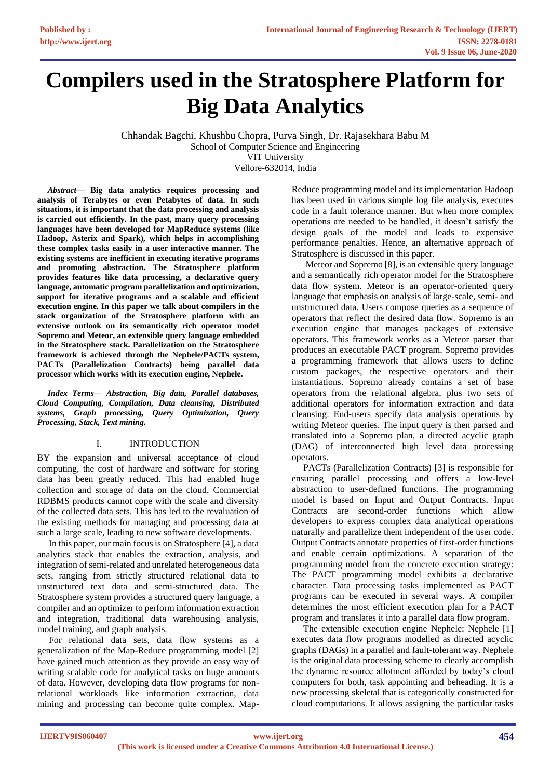# **Compilers used in the Stratosphere Platform for Big Data Analytics**

Chhandak Bagchi, Khushbu Chopra, Purva Singh, Dr. Rajasekhara Babu M School of Computer Science and Engineering VIT University Vellore-632014, India

 *Abstract***— Big data analytics requires processing and analysis of Terabytes or even Petabytes of data. In such situations, it is important that the data processing and analysis is carried out efficiently. In the past, many query processing languages have been developed for MapReduce systems (like Hadoop, Asterix and Spark), which helps in accomplishing these complex tasks easily in a user interactive manner. The existing systems are inefficient in executing iterative programs and promoting abstraction. The Stratosphere platform provides features like data processing, a declarative query language, automatic program parallelization and optimization, support for iterative programs and a scalable and efficient execution engine. In this paper we talk about compilers in the stack organization of the Stratosphere platform with an extensive outlook on its semantically rich operator model Sopremo and Meteor, an extensible query language embedded in the Stratosphere stack. Parallelization on the Stratosphere framework is achieved through the Nephele/PACTs system, PACTs (Parallelization Contracts) being parallel data processor which works with its execution engine, Nephele.** 

 *Index Terms— Abstraction, Big data, Parallel databases, Cloud Computing, Compilation, Data cleansing, Distributed systems, Graph processing, Query Optimization, Query Processing, Stack, Text mining.*

## I. INTRODUCTION

BY the expansion and universal acceptance of cloud computing, the cost of hardware and software for storing data has been greatly reduced. This had enabled huge collection and storage of data on the cloud. Commercial RDBMS products cannot cope with the scale and diversity of the collected data sets. This has led to the revaluation of the existing methods for managing and processing data at such a large scale, leading to new software developments.

 In this paper, our main focus is on Stratosphere [4], a data analytics stack that enables the extraction, analysis, and integration of semi-related and unrelated heterogeneous data sets, ranging from strictly structured relational data to unstructured text data and semi-structured data. The Stratosphere system provides a structured query language, a compiler and an optimizer to perform information extraction and integration, traditional data warehousing analysis, model training, and graph analysis.

 For relational data sets, data flow systems as a generalization of the Map-Reduce programming model [2] have gained much attention as they provide an easy way of writing scalable code for analytical tasks on huge amounts of data. However, developing data flow programs for nonrelational workloads like information extraction, data mining and processing can become quite complex. MapReduce programming model and its implementation Hadoop has been used in various simple log file analysis, executes code in a fault tolerance manner. But when more complex operations are needed to be handled, it doesn't satisfy the design goals of the model and leads to expensive performance penalties. Hence, an alternative approach of Stratosphere is discussed in this paper.

 Meteor and Sopremo [8], is an extensible query language and a semantically rich operator model for the Stratosphere data flow system. Meteor is an operator-oriented query language that emphasis on analysis of large-scale, semi- and unstructured data. Users compose queries as a sequence of operators that reflect the desired data flow. Sopremo is an execution engine that manages packages of extensive operators. This framework works as a Meteor parser that produces an executable PACT program. Sopremo provides a programming framework that allows users to define custom packages, the respective operators and their instantiations. Sopremo already contains a set of base operators from the relational algebra, plus two sets of additional operators for information extraction and data cleansing. End-users specify data analysis operations by writing Meteor queries. The input query is then parsed and translated into a Sopremo plan, a directed acyclic graph (DAG) of interconnected high level data processing operators.

 PACTs (Parallelization Contracts) [3] is responsible for ensuring parallel processing and offers a low-level abstraction to user-defined functions. The programming model is based on Input and Output Contracts. Input Contracts are second-order functions which allow developers to express complex data analytical operations naturally and parallelize them independent of the user code. Output Contracts annotate properties of first-order functions and enable certain optimizations. A separation of the programming model from the concrete execution strategy: The PACT programming model exhibits a declarative character. Data processing tasks implemented as PACT programs can be executed in several ways. A compiler determines the most efficient execution plan for a PACT program and translates it into a parallel data flow program.

 The extensible execution engine Nephele: Nephele [1] executes data flow programs modelled as directed acyclic graphs (DAGs) in a parallel and fault-tolerant way. Nephele is the original data processing scheme to clearly accomplish the dynamic resource allotment afforded by today's cloud computers for both, task appointing and beheading. It is a new processing skeletal that is categorically constructed for cloud computations. It allows assigning the particular tasks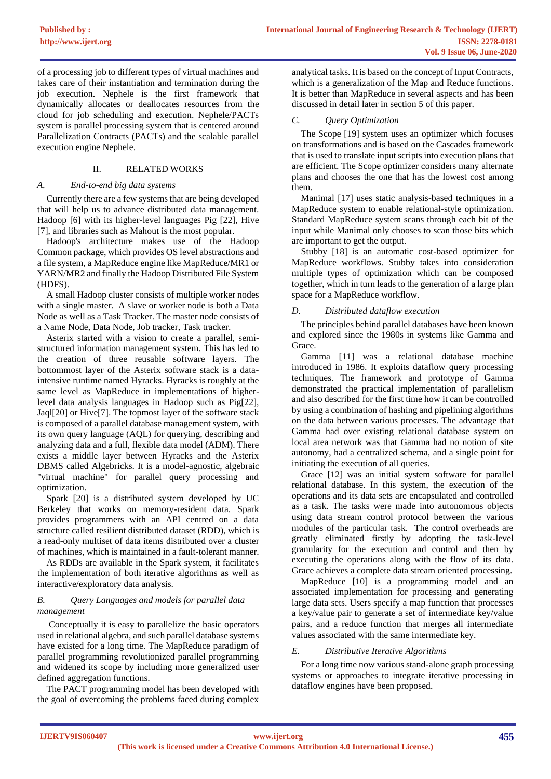of a processing job to different types of virtual machines and takes care of their instantiation and termination during the job execution. Nephele is the first framework that dynamically allocates or deallocates resources from the cloud for job scheduling and execution. Nephele/PACTs system is parallel processing system that is centered around Parallelization Contracts (PACTs) and the scalable parallel execution engine Nephele.

## II. RELATED WORKS

## *A. End-to-end big data systems*

 Currently there are a few systems that are being developed that will help us to advance distributed data management. Hadoop [6] with its higher-level languages Pig [22], Hive [7], and libraries such as Mahout is the most popular.

 Hadoop's architecture makes use of the Hadoop Common package, which provides OS level abstractions and a file system, a MapReduce engine like MapReduce/MR1 or YARN/MR2 and finally the Hadoop Distributed File System (HDFS).

 A small Hadoop cluster consists of multiple worker nodes with a single master. A slave or worker node is both a Data Node as well as a Task Tracker. The master node consists of a Name Node, Data Node, Job tracker, Task tracker.

 Asterix started with a vision to create a parallel, semistructured information management system. This has led to the creation of three reusable software layers. The bottommost layer of the Asterix software stack is a dataintensive runtime named Hyracks. Hyracks is roughly at the same level as MapReduce in implementations of higherlevel data analysis languages in Hadoop such as Pig[22], Jaql[20] or Hive[7]. The topmost layer of the software stack is composed of a parallel database management system, with its own query language (AQL) for querying, describing and analyzing data and a full, flexible data model (ADM). There exists a middle layer between Hyracks and the Asterix DBMS called Algebricks. It is a model-agnostic, algebraic "virtual machine" for parallel query processing and optimization.

 Spark [20] is a distributed system developed by UC Berkeley that works on memory-resident data. Spark provides programmers with an API centred on a data structure called resilient distributed dataset (RDD), which is a read-only multiset of data items distributed over a cluster of machines, which is maintained in a fault-tolerant manner.

 As RDDs are available in the Spark system, it facilitates the implementation of both iterative algorithms as well as interactive/exploratory data analysis.

## *B. Query Languages and models for parallel data management*

 Conceptually it is easy to parallelize the basic operators used in relational algebra, and such parallel database systems have existed for a long time. The MapReduce paradigm of parallel programming revolutionized parallel programming and widened its scope by including more generalized user defined aggregation functions.

 The PACT programming model has been developed with the goal of overcoming the problems faced during complex analytical tasks. It is based on the concept of Input Contracts, which is a generalization of the Map and Reduce functions. It is better than MapReduce in several aspects and has been discussed in detail later in section 5 of this paper.

# *C. Query Optimization*

 The Scope [19] system uses an optimizer which focuses on transformations and is based on the Cascades framework that is used to translate input scripts into execution plans that are efficient. The Scope optimizer considers many alternate plans and chooses the one that has the lowest cost among them.

 Manimal [17] uses static analysis-based techniques in a MapReduce system to enable relational-style optimization. Standard MapReduce system scans through each bit of the input while Manimal only chooses to scan those bits which are important to get the output.

 Stubby [18] is an automatic cost-based optimizer for MapReduce workflows. Stubby takes into consideration multiple types of optimization which can be composed together, which in turn leads to the generation of a large plan space for a MapReduce workflow.

## *D. Distributed dataflow execution*

 The principles behind parallel databases have been known and explored since the 1980s in systems like Gamma and Grace.

 Gamma [11] was a relational database machine introduced in 1986. It exploits dataflow query processing techniques. The framework and prototype of Gamma demonstrated the practical implementation of parallelism and also described for the first time how it can be controlled by using a combination of hashing and pipelining algorithms on the data between various processes. The advantage that Gamma had over existing relational database system on local area network was that Gamma had no notion of site autonomy, had a centralized schema, and a single point for initiating the execution of all queries.

 Grace [12] was an initial system software for parallel relational database. In this system, the execution of the operations and its data sets are encapsulated and controlled as a task. The tasks were made into autonomous objects using data stream control protocol between the various modules of the particular task. The control overheads are greatly eliminated firstly by adopting the task-level granularity for the execution and control and then by executing the operations along with the flow of its data. Grace achieves a complete data stream oriented processing.

MapReduce [10] is a programming model and an associated implementation for processing and generating large data sets. Users specify a map function that processes a key/value pair to generate a set of intermediate key/value pairs, and a reduce function that merges all intermediate values associated with the same intermediate key.

# *E. Distributive Iterative Algorithms*

 For a long time now various stand-alone graph processing systems or approaches to integrate iterative processing in dataflow engines have been proposed.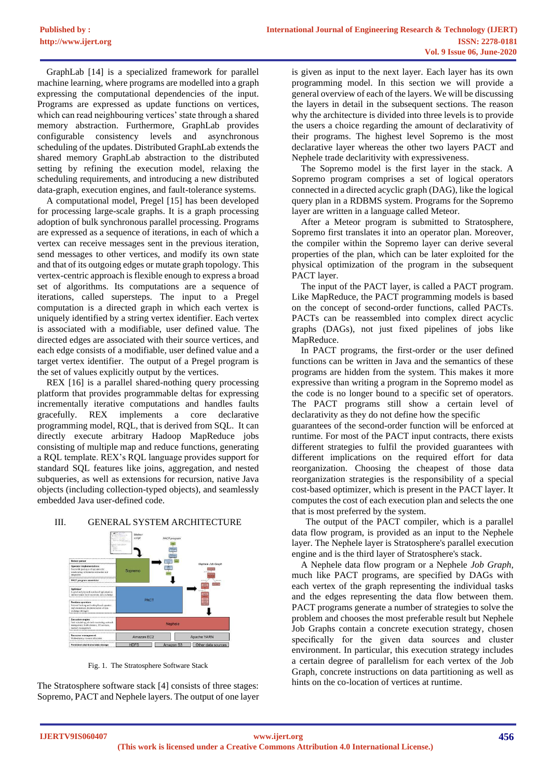GraphLab [14] is a specialized framework for parallel machine learning, where programs are modelled into a graph expressing the computational dependencies of the input. Programs are expressed as update functions on vertices, which can read neighbouring vertices' state through a shared memory abstraction. Furthermore, GraphLab provides configurable consistency levels and asynchronous scheduling of the updates. Distributed GraphLab extends the shared memory GraphLab abstraction to the distributed setting by refining the execution model, relaxing the scheduling requirements, and introducing a new distributed data-graph, execution engines, and fault-tolerance systems.

 A computational model, Pregel [15] has been developed for processing large-scale graphs. It is a graph processing adoption of bulk synchronous parallel processing. Programs are expressed as a sequence of iterations, in each of which a vertex can receive messages sent in the previous iteration, send messages to other vertices, and modify its own state and that of its outgoing edges or mutate graph topology. This vertex-centric approach is flexible enough to express a broad set of algorithms. Its computations are a sequence of iterations, called supersteps. The input to a Pregel computation is a directed graph in which each vertex is uniquely identified by a string vertex identifier. Each vertex is associated with a modifiable, user defined value. The directed edges are associated with their source vertices, and each edge consists of a modifiable, user defined value and a target vertex identifier. The output of a Pregel program is the set of values explicitly output by the vertices.

 REX [16] is a parallel shared-nothing query processing platform that provides programmable deltas for expressing incrementally iterative computations and handles faults gracefully. REX implements a core declarative programming model, RQL, that is derived from SQL. It can directly execute arbitrary Hadoop MapReduce jobs consisting of multiple map and reduce functions, generating a RQL template. REX's RQL language provides support for standard SQL features like joins, aggregation, and nested subqueries, as well as extensions for recursion, native Java objects (including collection-typed objects), and seamlessly embedded Java user-defined code.

# III. GENERAL SYSTEM ARCHITECTURE



Fig. 1. The Stratosphere Software Stack

The Stratosphere software stack [4] consists of three stages: Sopremo, PACT and Nephele layers. The output of one layer is given as input to the next layer. Each layer has its own programming model. In this section we will provide a general overview of each of the layers. We will be discussing the layers in detail in the subsequent sections. The reason why the architecture is divided into three levels is to provide the users a choice regarding the amount of declarativity of their programs. The highest level Sopremo is the most declarative layer whereas the other two layers PACT and Nephele trade declaritivity with expressiveness.

 The Sopremo model is the first layer in the stack. A Sopremo program comprises a set of logical operators connected in a directed acyclic graph (DAG), like the logical query plan in a RDBMS system. Programs for the Sopremo layer are written in a language called Meteor.

 After a Meteor program is submitted to Stratosphere, Sopremo first translates it into an operator plan. Moreover, the compiler within the Sopremo layer can derive several properties of the plan, which can be later exploited for the physical optimization of the program in the subsequent PACT layer.

 The input of the PACT layer, is called a PACT program. Like MapReduce, the PACT programming models is based on the concept of second-order functions, called PACTs. PACTs can be reassembled into complex direct acyclic graphs (DAGs), not just fixed pipelines of jobs like MapReduce.

 In PACT programs, the first-order or the user defined functions can be written in Java and the semantics of these programs are hidden from the system. This makes it more expressive than writing a program in the Sopremo model as the code is no longer bound to a specific set of operators. The PACT programs still show a certain level of declarativity as they do not define how the specific

guarantees of the second-order function will be enforced at runtime. For most of the PACT input contracts, there exists different strategies to fulfil the provided guarantees with different implications on the required effort for data reorganization. Choosing the cheapest of those data reorganization strategies is the responsibility of a special cost-based optimizer, which is present in the PACT layer. It computes the cost of each execution plan and selects the one that is most preferred by the system.

 The output of the PACT compiler, which is a parallel data flow program, is provided as an input to the Nephele layer. The Nephele layer is Stratosphere's parallel execution engine and is the third layer of Stratosphere's stack.

 A Nephele data flow program or a Nephele *Job Graph*, much like PACT programs, are specified by DAGs with each vertex of the graph representing the individual tasks and the edges representing the data flow between them. PACT programs generate a number of strategies to solve the problem and chooses the most preferable result but Nephele Job Graphs contain a concrete execution strategy, chosen specifically for the given data sources and cluster environment. In particular, this execution strategy includes a certain degree of parallelism for each vertex of the Job Graph, concrete instructions on data partitioning as well as hints on the co-location of vertices at runtime.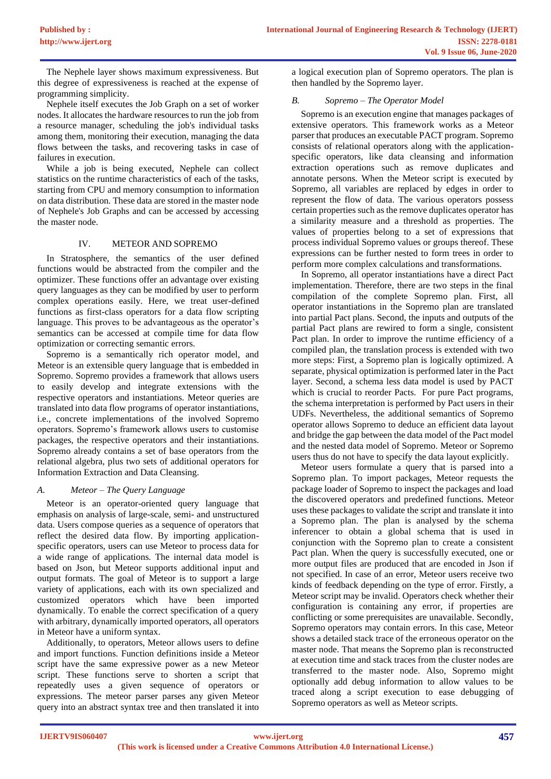The Nephele layer shows maximum expressiveness. But this degree of expressiveness is reached at the expense of programming simplicity.

 Nephele itself executes the Job Graph on a set of worker nodes. It allocates the hardware resources to run the job from a resource manager, scheduling the job's individual tasks among them, monitoring their execution, managing the data flows between the tasks, and recovering tasks in case of failures in execution.

While a job is being executed. Nephele can collect statistics on the runtime characteristics of each of the tasks, starting from CPU and memory consumption to information on data distribution. These data are stored in the master node of Nephele's Job Graphs and can be accessed by accessing the master node.

# IV. METEOR AND SOPREMO

 In Stratosphere, the semantics of the user defined functions would be abstracted from the compiler and the optimizer. These functions offer an advantage over existing query languages as they can be modified by user to perform complex operations easily. Here, we treat user-defined functions as first-class operators for a data flow scripting language. This proves to be advantageous as the operator's semantics can be accessed at compile time for data flow optimization or correcting semantic errors.

 Sopremo is a semantically rich operator model, and Meteor is an extensible query language that is embedded in Sopremo. Sopremo provides a framework that allows users to easily develop and integrate extensions with the respective operators and instantiations. Meteor queries are translated into data flow programs of operator instantiations, i.e., concrete implementations of the involved Sopremo operators. Sopremo's framework allows users to customise packages, the respective operators and their instantiations. Sopremo already contains a set of base operators from the relational algebra, plus two sets of additional operators for Information Extraction and Data Cleansing.

# *A. Meteor – The Query Language*

 Meteor is an operator-oriented query language that emphasis on analysis of large-scale, semi- and unstructured data. Users compose queries as a sequence of operators that reflect the desired data flow. By importing applicationspecific operators, users can use Meteor to process data for a wide range of applications. The internal data model is based on Json, but Meteor supports additional input and output formats. The goal of Meteor is to support a large variety of applications, each with its own specialized and customized operators which have been imported dynamically. To enable the correct specification of a query with arbitrary, dynamically imported operators, all operators in Meteor have a uniform syntax.

 Additionally, to operators, Meteor allows users to define and import functions. Function definitions inside a Meteor script have the same expressive power as a new Meteor script. These functions serve to shorten a script that repeatedly uses a given sequence of operators or expressions. The meteor parser parses any given Meteor query into an abstract syntax tree and then translated it into

a logical execution plan of Sopremo operators. The plan is then handled by the Sopremo layer.

# *B. Sopremo – The Operator Model*

 Sopremo is an execution engine that manages packages of extensive operators. This framework works as a Meteor parser that produces an executable PACT program. Sopremo consists of relational operators along with the applicationspecific operators, like data cleansing and information extraction operations such as remove duplicates and annotate persons. When the Meteor script is executed by Sopremo, all variables are replaced by edges in order to represent the flow of data. The various operators possess certain properties such as the remove duplicates operator has a similarity measure and a threshold as properties. The values of properties belong to a set of expressions that process individual Sopremo values or groups thereof. These expressions can be further nested to form trees in order to perform more complex calculations and transformations.

 In Sopremo, all operator instantiations have a direct Pact implementation. Therefore, there are two steps in the final compilation of the complete Sopremo plan. First, all operator instantiations in the Sopremo plan are translated into partial Pact plans. Second, the inputs and outputs of the partial Pact plans are rewired to form a single, consistent Pact plan. In order to improve the runtime efficiency of a compiled plan, the translation process is extended with two more steps: First, a Sopremo plan is logically optimized. A separate, physical optimization is performed later in the Pact layer. Second, a schema less data model is used by PACT which is crucial to reorder Pacts. For pure Pact programs, the schema interpretation is performed by Pact users in their UDFs. Nevertheless, the additional semantics of Sopremo operator allows Sopremo to deduce an efficient data layout and bridge the gap between the data model of the Pact model and the nested data model of Sopremo. Meteor or Sopremo users thus do not have to specify the data layout explicitly.

 Meteor users formulate a query that is parsed into a Sopremo plan. To import packages, Meteor requests the package loader of Sopremo to inspect the packages and load the discovered operators and predefined functions. Meteor uses these packages to validate the script and translate it into a Sopremo plan. The plan is analysed by the schema inferencer to obtain a global schema that is used in conjunction with the Sopremo plan to create a consistent Pact plan. When the query is successfully executed, one or more output files are produced that are encoded in Json if not specified. In case of an error, Meteor users receive two kinds of feedback depending on the type of error. Firstly, a Meteor script may be invalid. Operators check whether their configuration is containing any error, if properties are conflicting or some prerequisites are unavailable. Secondly, Sopremo operators may contain errors. In this case, Meteor shows a detailed stack trace of the erroneous operator on the master node. That means the Sopremo plan is reconstructed at execution time and stack traces from the cluster nodes are transferred to the master node. Also, Sopremo might optionally add debug information to allow values to be traced along a script execution to ease debugging of Sopremo operators as well as Meteor scripts.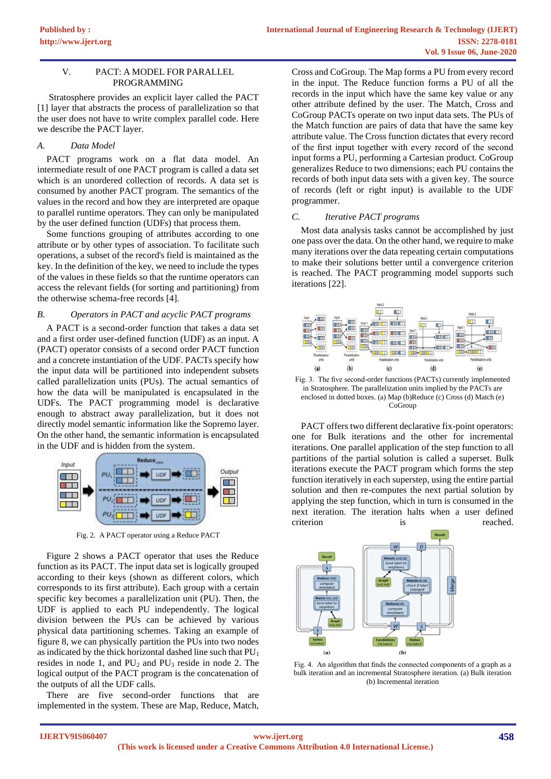#### V. PACT: A MODEL FOR PARALLEL PROGRAMMING

 Stratosphere provides an explicit layer called the PACT [1] layer that abstracts the process of parallelization so that the user does not have to write complex parallel code. Here we describe the PACT layer.

#### *A. Data Model*

 PACT programs work on a flat data model. An intermediate result of one PACT program is called a data set which is an unordered collection of records. A data set is consumed by another PACT program. The semantics of the values in the record and how they are interpreted are opaque to parallel runtime operators. They can only be manipulated by the user defined function (UDFs) that process them.

 Some functions grouping of attributes according to one attribute or by other types of association. To facilitate such operations, a subset of the record's field is maintained as the key. In the definition of the key, we need to include the types of the values in these fields so that the runtime operators can access the relevant fields (for sorting and partitioning) from the otherwise schema-free records [4].

#### *B. Operators in PACT and acyclic PACT programs*

 A PACT is a second-order function that takes a data set and a first order user-defined function (UDF) as an input. A (PACT) operator consists of a second order PACT function and a concrete instantiation of the UDF. PACTs specify how the input data will be partitioned into independent subsets called parallelization units (PUs). The actual semantics of how the data will be manipulated is encapsulated in the UDFs. The PACT programming model is declarative enough to abstract away parallelization, but it does not directly model semantic information like the Sopremo layer. On the other hand, the semantic information is encapsulated in the UDF and is hidden from the system.



Fig. 2. A PACT operator using a Reduce PACT

 Figure 2 shows a PACT operator that uses the Reduce function as its PACT. The input data set is logically grouped according to their keys (shown as different colors, which corresponds to its first attribute). Each group with a certain specific key becomes a parallelization unit (PU). Then, the UDF is applied to each PU independently. The logical division between the PUs can be achieved by various physical data partitioning schemes. Taking an example of figure 8, we can physically partition the PUs into two nodes as indicated by the thick horizontal dashed line such that  $PU_1$ resides in node 1, and  $PU_2$  and  $PU_3$  reside in node 2. The logical output of the PACT program is the concatenation of the outputs of all the UDF calls.

 There are five second-order functions that are implemented in the system. These are Map, Reduce, Match,

Cross and CoGroup. The Map forms a PU from every record in the input. The Reduce function forms a PU of all the records in the input which have the same key value or any other attribute defined by the user. The Match, Cross and CoGroup PACTs operate on two input data sets. The PUs of the Match function are pairs of data that have the same key attribute value. The Cross function dictates that every record of the first input together with every record of the second input forms a PU, performing a Cartesian product. CoGroup generalizes Reduce to two dimensions; each PU contains the records of both input data sets with a given key. The source of records (left or right input) is available to the UDF programmer.

## *C. Iterative PACT programs*

 Most data analysis tasks cannot be accomplished by just one pass over the data. On the other hand, we require to make many iterations over the data repeating certain computations to make their solutions better until a convergence criterion is reached. The PACT programming model supports such iterations [22].



Fig. 3. The five second-order functions (PACTs) currently implemented in Stratosphere. The parallelization units implied by the PACTs are enclosed in dotted boxes. (a) Map (b)Reduce (c) Cross (d) Match (e) **CoGroup** 

 PACT offers two different declarative fix-point operators: one for Bulk iterations and the other for incremental iterations. One parallel application of the step function to all partitions of the partial solution is called a superset. Bulk iterations execute the PACT program which forms the step function iteratively in each superstep, using the entire partial solution and then re-computes the next partial solution by applying the step function, which in turn is consumed in the next iteration. The iteration halts when a user defined criterion is reached.



Fig. 4. An algorithm that finds the connected components of a graph as a bulk iteration and an incremental Stratosphere iteration. (a) Bulk iteration (b) Incremental iteration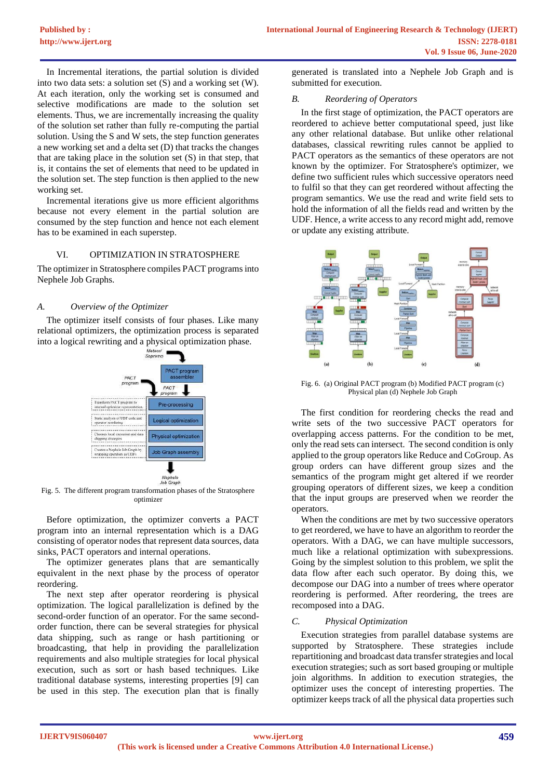In Incremental iterations, the partial solution is divided into two data sets: a solution set (S) and a working set (W). At each iteration, only the working set is consumed and selective modifications are made to the solution set elements. Thus, we are incrementally increasing the quality of the solution set rather than fully re-computing the partial solution. Using the S and W sets, the step function generates a new working set and a delta set (D) that tracks the changes that are taking place in the solution set (S) in that step, that is, it contains the set of elements that need to be updated in the solution set. The step function is then applied to the new working set.

 Incremental iterations give us more efficient algorithms because not every element in the partial solution are consumed by the step function and hence not each element has to be examined in each superstep.

## VI. OPTIMIZATION IN STRATOSPHERE

The optimizer in Stratosphere compiles PACT programs into Nephele Job Graphs.

## *A. Overview of the Optimizer*

 The optimizer itself consists of four phases. Like many relational optimizers, the optimization process is separated into a logical rewriting and a physical optimization phase.



Fig. 5. The different program transformation phases of the Stratosphere optimizer

 Before optimization, the optimizer converts a PACT program into an internal representation which is a DAG consisting of operator nodes that represent data sources, data sinks, PACT operators and internal operations.

 The optimizer generates plans that are semantically equivalent in the next phase by the process of operator reordering.

 The next step after operator reordering is physical optimization. The logical parallelization is defined by the second-order function of an operator. For the same secondorder function, there can be several strategies for physical data shipping, such as range or hash partitioning or broadcasting, that help in providing the parallelization requirements and also multiple strategies for local physical execution, such as sort or hash based techniques. Like traditional database systems, interesting properties [9] can be used in this step. The execution plan that is finally

generated is translated into a Nephele Job Graph and is submitted for execution.

## *B. Reordering of Operators*

 In the first stage of optimization, the PACT operators are reordered to achieve better computational speed, just like any other relational database. But unlike other relational databases, classical rewriting rules cannot be applied to PACT operators as the semantics of these operators are not known by the optimizer. For Stratosphere's optimizer, we define two sufficient rules which successive operators need to fulfil so that they can get reordered without affecting the program semantics. We use the read and write field sets to hold the information of all the fields read and written by the UDF. Hence, a write access to any record might add, remove or update any existing attribute.



Fig. 6. (a) Original PACT program (b) Modified PACT program (c) Physical plan (d) Nephele Job Graph

 The first condition for reordering checks the read and write sets of the two successive PACT operators for overlapping access patterns. For the condition to be met, only the read sets can intersect. The second condition is only applied to the group operators like Reduce and CoGroup. As group orders can have different group sizes and the semantics of the program might get altered if we reorder grouping operators of different sizes, we keep a condition that the input groups are preserved when we reorder the operators.

 When the conditions are met by two successive operators to get reordered, we have to have an algorithm to reorder the operators. With a DAG, we can have multiple successors, much like a relational optimization with subexpressions. Going by the simplest solution to this problem, we split the data flow after each such operator. By doing this, we decompose our DAG into a number of trees where operator reordering is performed. After reordering, the trees are recomposed into a DAG.

# *C. Physical Optimization*

 Execution strategies from parallel database systems are supported by Stratosphere. These strategies include repartitioning and broadcast data transfer strategies and local execution strategies; such as sort based grouping or multiple join algorithms. In addition to execution strategies, the optimizer uses the concept of interesting properties. The optimizer keeps track of all the physical data properties such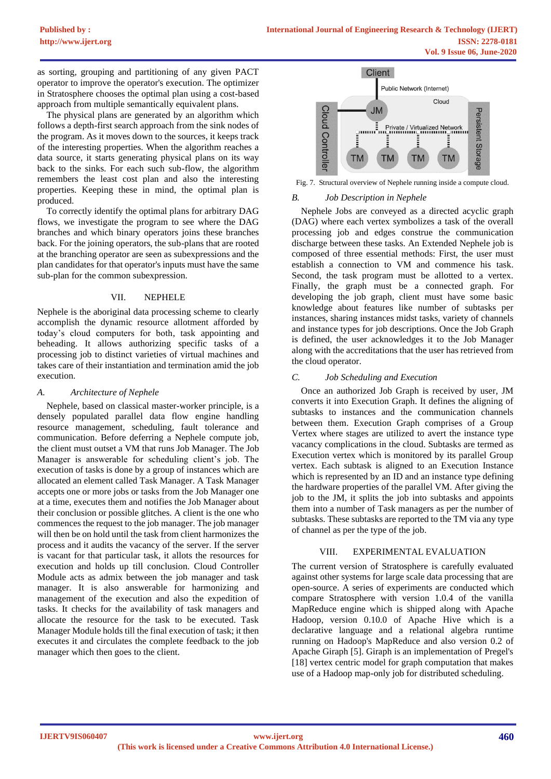as sorting, grouping and partitioning of any given PACT operator to improve the operator's execution. The optimizer in Stratosphere chooses the optimal plan using a cost-based approach from multiple semantically equivalent plans.

 The physical plans are generated by an algorithm which follows a depth-first search approach from the sink nodes of the program. As it moves down to the sources, it keeps track of the interesting properties. When the algorithm reaches a data source, it starts generating physical plans on its way back to the sinks. For each such sub-flow, the algorithm remembers the least cost plan and also the interesting properties. Keeping these in mind, the optimal plan is produced.

 To correctly identify the optimal plans for arbitrary DAG flows, we investigate the program to see where the DAG branches and which binary operators joins these branches back. For the joining operators, the sub-plans that are rooted at the branching operator are seen as subexpressions and the plan candidates for that operator's inputs must have the same sub-plan for the common subexpression.

#### VII. NEPHELE

Nephele is the aboriginal data processing scheme to clearly accomplish the dynamic resource allotment afforded by today's cloud computers for both, task appointing and beheading. It allows authorizing specific tasks of a processing job to distinct varieties of virtual machines and takes care of their instantiation and termination amid the job execution.

#### *A. Architecture of Nephele*

 Nephele, based on classical master-worker principle, is a densely populated parallel data flow engine handling resource management, scheduling, fault tolerance and communication. Before deferring a Nephele compute job, the client must outset a VM that runs Job Manager. The Job Manager is answerable for scheduling client's job. The execution of tasks is done by a group of instances which are allocated an element called Task Manager. A Task Manager accepts one or more jobs or tasks from the Job Manager one at a time, executes them and notifies the Job Manager about their conclusion or possible glitches. A client is the one who commences the request to the job manager. The job manager will then be on hold until the task from client harmonizes the process and it audits the vacancy of the server. If the server is vacant for that particular task, it allots the resources for execution and holds up till conclusion. Cloud Controller Module acts as admix between the job manager and task manager. It is also answerable for harmonizing and management of the execution and also the expedition of tasks. It checks for the availability of task managers and allocate the resource for the task to be executed. Task Manager Module holds till the final execution of task; it then executes it and circulates the complete feedback to the job manager which then goes to the client.



Fig. 7. Structural overview of Nephele running inside a compute cloud.

#### *B. Job Description in Nephele*

 Nephele Jobs are conveyed as a directed acyclic graph (DAG) where each vertex symbolizes a task of the overall processing job and edges construe the communication discharge between these tasks. An Extended Nephele job is composed of three essential methods: First, the user must establish a connection to VM and commence his task. Second, the task program must be allotted to a vertex. Finally, the graph must be a connected graph. For developing the job graph, client must have some basic knowledge about features like number of subtasks per instances, sharing instances midst tasks, variety of channels and instance types for job descriptions. Once the Job Graph is defined, the user acknowledges it to the Job Manager along with the accreditations that the user has retrieved from the cloud operator.

#### *C. Job Scheduling and Execution*

 Once an authorized Job Graph is received by user, JM converts it into Execution Graph. It defines the aligning of subtasks to instances and the communication channels between them. Execution Graph comprises of a Group Vertex where stages are utilized to avert the instance type vacancy complications in the cloud. Subtasks are termed as Execution vertex which is monitored by its parallel Group vertex. Each subtask is aligned to an Execution Instance which is represented by an ID and an instance type defining the hardware properties of the parallel VM. After giving the job to the JM, it splits the job into subtasks and appoints them into a number of Task managers as per the number of subtasks. These subtasks are reported to the TM via any type of channel as per the type of the job.

## VIII. EXPERIMENTAL EVALUATION

The current version of Stratosphere is carefully evaluated against other systems for large scale data processing that are open-source. A series of experiments are conducted which compare Stratosphere with version 1.0.4 of the vanilla MapReduce engine which is shipped along with Apache Hadoop, version 0.10.0 of Apache Hive which is a declarative language and a relational algebra runtime running on Hadoop's MapReduce and also version 0.2 of Apache Giraph [5]. Giraph is an implementation of Pregel's [18] vertex centric model for graph computation that makes use of a Hadoop map-only job for distributed scheduling.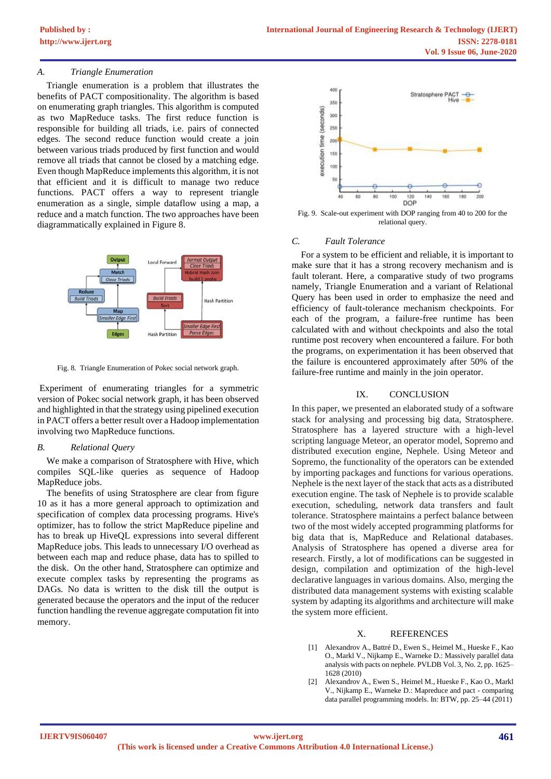## *A. Triangle Enumeration*

 Triangle enumeration is a problem that illustrates the benefits of PACT compositionality. The algorithm is based on enumerating graph triangles. This algorithm is computed as two MapReduce tasks. The first reduce function is responsible for building all triads, i.e. pairs of connected edges. The second reduce function would create a join between various triads produced by first function and would remove all triads that cannot be closed by a matching edge. Even though MapReduce implements this algorithm, it is not that efficient and it is difficult to manage two reduce functions. PACT offers a way to represent triangle enumeration as a single, simple dataflow using a map, a reduce and a match function. The two approaches have been diagrammatically explained in Figure 8.



Fig. 8. Triangle Enumeration of Pokec social network graph.

Experiment of enumerating triangles for a symmetric version of Pokec social network graph, it has been observed and highlighted in that the strategy using pipelined execution in PACT offers a better result over a Hadoop implementation involving two MapReduce functions.

#### *B. Relational Query*

 We make a comparison of Stratosphere with Hive, which compiles SQL-like queries as sequence of Hadoop MapReduce jobs.

 The benefits of using Stratosphere are clear from figure 10 as it has a more general approach to optimization and specification of complex data processing programs. Hive's optimizer, has to follow the strict MapReduce pipeline and has to break up HiveQL expressions into several different MapReduce jobs. This leads to unnecessary I/O overhead as between each map and reduce phase, data has to spilled to the disk. On the other hand, Stratosphere can optimize and execute complex tasks by representing the programs as DAGs. No data is written to the disk till the output is generated because the operators and the input of the reducer function handling the revenue aggregate computation fit into memory.



Fig. 9. Scale-out experiment with DOP ranging from 40 to 200 for the relational query.

#### *C. Fault Tolerance*

 For a system to be efficient and reliable, it is important to make sure that it has a strong recovery mechanism and is fault tolerant. Here, a comparative study of two programs namely, Triangle Enumeration and a variant of Relational Query has been used in order to emphasize the need and efficiency of fault-tolerance mechanism checkpoints. For each of the program, a failure-free runtime has been calculated with and without checkpoints and also the total runtime post recovery when encountered a failure. For both the programs, on experimentation it has been observed that the failure is encountered approximately after 50% of the failure-free runtime and mainly in the join operator.

#### IX. CONCLUSION

In this paper, we presented an elaborated study of a software stack for analysing and processing big data, Stratosphere. Stratosphere has a layered structure with a high-level scripting language Meteor, an operator model, Sopremo and distributed execution engine, Nephele. Using Meteor and Sopremo, the functionality of the operators can be extended by importing packages and functions for various operations. Nephele is the next layer of the stack that acts as a distributed execution engine. The task of Nephele is to provide scalable execution, scheduling, network data transfers and fault tolerance. Stratosphere maintains a perfect balance between two of the most widely accepted programming platforms for big data that is, MapReduce and Relational databases. Analysis of Stratosphere has opened a diverse area for research. Firstly, a lot of modifications can be suggested in design, compilation and optimization of the high-level declarative languages in various domains. Also, merging the distributed data management systems with existing scalable system by adapting its algorithms and architecture will make the system more efficient.

## X. REFERENCES

- [1] Alexandrov A., Battré D., Ewen S., Heimel M., Hueske F., Kao O., Markl V., Nijkamp E., Warneke D.: Massively parallel data analysis with pacts on nephele. PVLDB Vol. 3, No. 2, pp. 1625– 1628 (2010)
- [2] Alexandrov A., Ewen S., Heimel M., Hueske F., Kao O., Markl V., Nijkamp E., Warneke D.: Mapreduce and pact - comparing data parallel programming models. In: BTW, pp. 25–44 (2011)